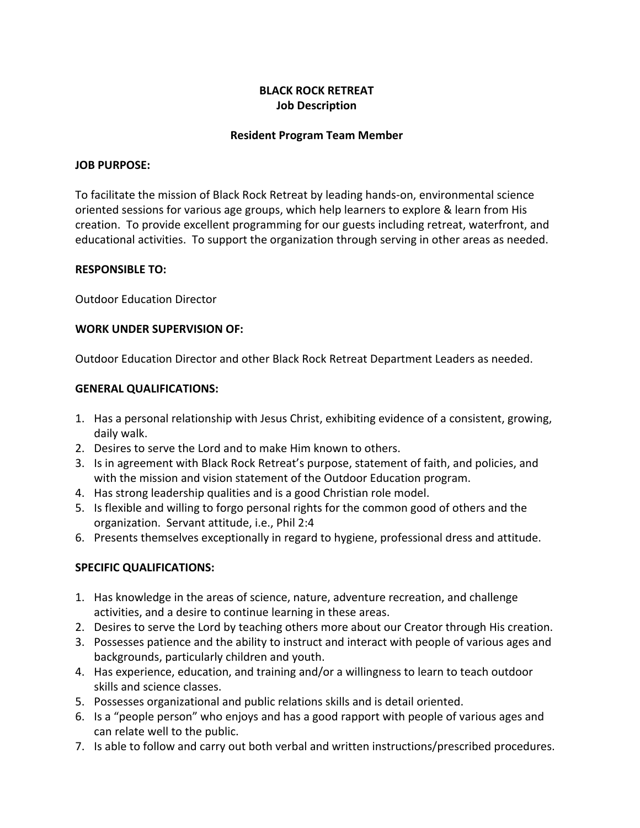# **BLACK ROCK RETREAT Job Description**

## **Resident Program Team Member**

### **JOB PURPOSE:**

To facilitate the mission of Black Rock Retreat by leading hands-on, environmental science oriented sessions for various age groups, which help learners to explore & learn from His creation. To provide excellent programming for our guests including retreat, waterfront, and educational activities. To support the organization through serving in other areas as needed.

### **RESPONSIBLE TO:**

Outdoor Education Director

### **WORK UNDER SUPERVISION OF:**

Outdoor Education Director and other Black Rock Retreat Department Leaders as needed.

### **GENERAL QUALIFICATIONS:**

- 1. Has a personal relationship with Jesus Christ, exhibiting evidence of a consistent, growing, daily walk.
- 2. Desires to serve the Lord and to make Him known to others.
- 3. Is in agreement with Black Rock Retreat's purpose, statement of faith, and policies, and with the mission and vision statement of the Outdoor Education program.
- 4. Has strong leadership qualities and is a good Christian role model.
- 5. Is flexible and willing to forgo personal rights for the common good of others and the organization. Servant attitude, i.e., Phil 2:4
- 6. Presents themselves exceptionally in regard to hygiene, professional dress and attitude.

## **SPECIFIC QUALIFICATIONS:**

- 1. Has knowledge in the areas of science, nature, adventure recreation, and challenge activities, and a desire to continue learning in these areas.
- 2. Desires to serve the Lord by teaching others more about our Creator through His creation.
- 3. Possesses patience and the ability to instruct and interact with people of various ages and backgrounds, particularly children and youth.
- 4. Has experience, education, and training and/or a willingness to learn to teach outdoor skills and science classes.
- 5. Possesses organizational and public relations skills and is detail oriented.
- 6. Is a "people person" who enjoys and has a good rapport with people of various ages and can relate well to the public.
- 7. Is able to follow and carry out both verbal and written instructions/prescribed procedures.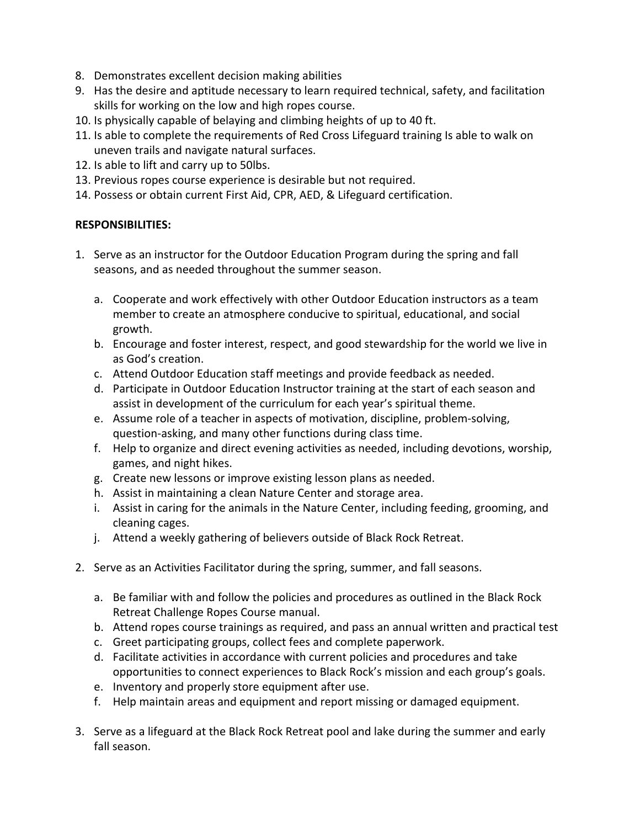- 8. Demonstrates excellent decision making abilities
- 9. Has the desire and aptitude necessary to learn required technical, safety, and facilitation skills for working on the low and high ropes course.
- 10. Is physically capable of belaying and climbing heights of up to 40 ft.
- 11. Is able to complete the requirements of Red Cross Lifeguard training Is able to walk on uneven trails and navigate natural surfaces.
- 12. Is able to lift and carry up to 50lbs.
- 13. Previous ropes course experience is desirable but not required.
- 14. Possess or obtain current First Aid, CPR, AED, & Lifeguard certification.

# **RESPONSIBILITIES:**

- 1. Serve as an instructor for the Outdoor Education Program during the spring and fall seasons, and as needed throughout the summer season.
	- a. Cooperate and work effectively with other Outdoor Education instructors as a team member to create an atmosphere conducive to spiritual, educational, and social growth.
	- b. Encourage and foster interest, respect, and good stewardship for the world we live in as God's creation.
	- c. Attend Outdoor Education staff meetings and provide feedback as needed.
	- d. Participate in Outdoor Education Instructor training at the start of each season and assist in development of the curriculum for each year's spiritual theme.
	- e. Assume role of a teacher in aspects of motivation, discipline, problem-solving, question-asking, and many other functions during class time.
	- f. Help to organize and direct evening activities as needed, including devotions, worship, games, and night hikes.
	- g. Create new lessons or improve existing lesson plans as needed.
	- h. Assist in maintaining a clean Nature Center and storage area.
	- i. Assist in caring for the animals in the Nature Center, including feeding, grooming, and cleaning cages.
	- j. Attend a weekly gathering of believers outside of Black Rock Retreat.
- 2. Serve as an Activities Facilitator during the spring, summer, and fall seasons.
	- a. Be familiar with and follow the policies and procedures as outlined in the Black Rock Retreat Challenge Ropes Course manual.
	- b. Attend ropes course trainings as required, and pass an annual written and practical test
	- c. Greet participating groups, collect fees and complete paperwork.
	- d. Facilitate activities in accordance with current policies and procedures and take opportunities to connect experiences to Black Rock's mission and each group's goals.
	- e. Inventory and properly store equipment after use.
	- f. Help maintain areas and equipment and report missing or damaged equipment.
- 3. Serve as a lifeguard at the Black Rock Retreat pool and lake during the summer and early fall season.